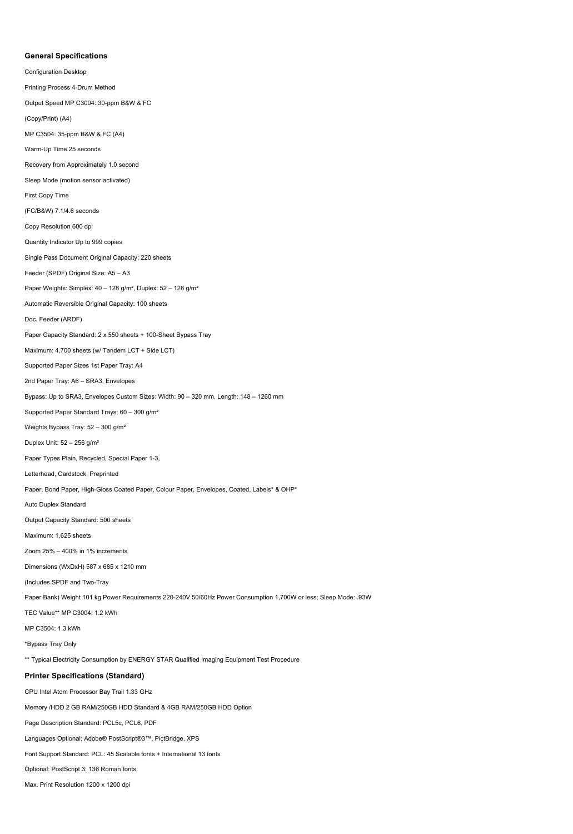## **General Specifications**

Configuration Desktop Printing Process 4-Drum Method Output Speed MP C3004: 30-ppm B&W & FC (Copy/Print) (A4) MP C3504: 35-ppm B&W & FC (A4) Warm-Up Time 25 seconds Recovery from Approximately 1.0 second Sleep Mode (motion sensor activated) First Copy Time (FC/B&W) 7.1/4.6 seconds Copy Resolution 600 dpi Quantity Indicator Up to 999 copies Single Pass Document Original Capacity: 220 sheets Feeder (SPDF) Original Size: A5 – A3 Paper Weights: Simplex: 40 – 128 g/m², Duplex: 52 – 128 g/m² Automatic Reversible Original Capacity: 100 sheets Doc. Feeder (ARDF) Paper Capacity Standard: 2 x 550 sheets + 100-Sheet Bypass Tray Maximum: 4,700 sheets (w/ Tandem LCT + Side LCT) Supported Paper Sizes 1st Paper Tray: A4 2nd Paper Tray: A6 – SRA3, Envelopes Bypass: Up to SRA3, Envelopes Custom Sizes: Width: 90 – 320 mm, Length: 148 – 1260 mm Supported Paper Standard Trays: 60 – 300 g/m² Weights Bypass Tray: 52 – 300 g/m² Duplex Unit: 52 – 256 g/m² Paper Types Plain, Recycled, Special Paper 1-3, Letterhead, Cardstock, Preprinted Paper, Bond Paper, High-Gloss Coated Paper, Colour Paper, Envelopes, Coated, Labels\* & OHP\* Auto Duplex Standard Output Capacity Standard: 500 sheets Maximum: 1,625 sheets Zoom 25% – 400% in 1% increments Dimensions (WxDxH) 587 x 685 x 1210 mm (Includes SPDF and Two-Tray Paper Bank) Weight 101 kg Power Requirements 220-240V 50/60Hz Power Consumption 1,700W or less; Sleep Mode: .93W TEC Value\*\* MP C3004: 1.2 kWh MP C3504: 1.3 kWh \*Bypass Tray Only \*\* Typical Electricity Consumption by ENERGY STAR Qualified Imaging Equipment Test Procedure **Printer Specifications (Standard)**  CPU Intel Atom Processor Bay Trail 1.33 GHz Memory /HDD 2 GB RAM/250GB HDD Standard & 4GB RAM/250GB HDD Option Page Description Standard: PCL5c, PCL6, PDF Languages Optional: Adobe® PostScript®3™, PictBridge, XPS Font Support Standard: PCL: 45 Scalable fonts + International 13 fonts Optional: PostScript 3: 136 Roman fonts Max. Print Resolution 1200 x 1200 dpi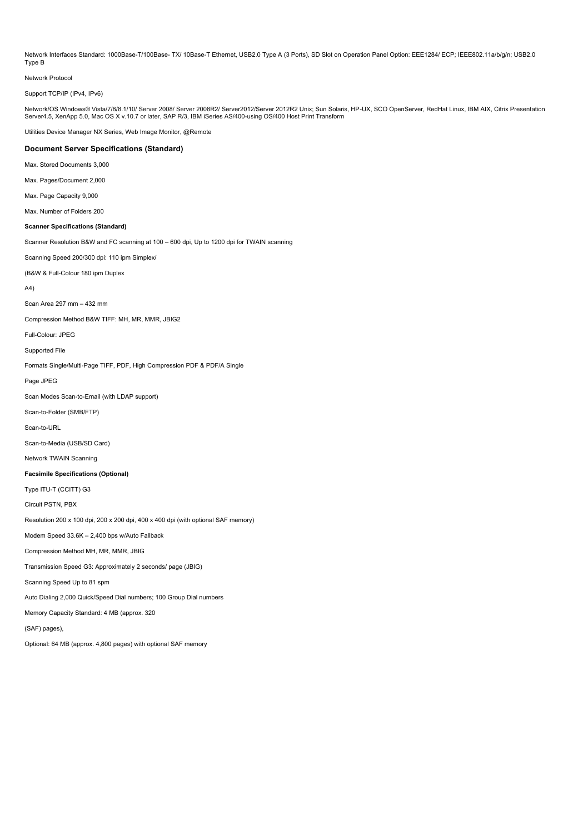Network Interfaces Standard: 1000Base-T/100Base-TX/ 10Base-T Ethernet, USB2.0 Type A (3 Ports), SD Slot on Operation Panel Option: EEE1284/ ECP; IEEE802.11a/b/g/n; USB2.0 Type B

Network Protocol

Support TCP/IP (IPv4, IPv6)

Network/OS Windows® Vista/7/8/8.1/10/ Server 2008/ Server 2008R2/ Server2012/Server 2012R2 Unix; Sun Solaris, HP-UX, SCO OpenServer, RedHat Linux, IBM AIX, Citrix Presentation Server4.5, XenApp 5.0, Mac OS X v.10.7 or later, SAP R/3, IBM iSeries AS/400-using OS/400 Host Print Transform

Utilities Device Manager NX Series, Web Image Monitor, @Remote

## **Document Server Specifications (Standard)**

Max. Stored Documents 3,000

Max. Pages/Document 2,000

Max. Page Capacity 9,000

Max. Number of Folders 200

## **Scanner Specifications (Standard)**

Scanner Resolution B&W and FC scanning at 100 – 600 dpi, Up to 1200 dpi for TWAIN scanning

Scanning Speed 200/300 dpi: 110 ipm Simplex/

(B&W & Full-Colour 180 ipm Duplex

A4)

Scan Area 297 mm – 432 mm

Compression Method B&W TIFF: MH, MR, MMR, JBIG2

Full-Colour: JPEG

Supported File

Formats Single/Multi-Page TIFF, PDF, High Compression PDF & PDF/A Single

Page JPEG

Scan Modes Scan-to-Email (with LDAP support)

Scan-to-Folder (SMB/FTP)

Scan-to-URL

Scan-to-Media (USB/SD Card)

Network TWAIN Scanning

**Facsimile Specifications (Optional)** 

Type ITU-T (CCITT) G3

Circuit PSTN, PBX

Resolution 200 x 100 dpi, 200 x 200 dpi, 400 x 400 dpi (with optional SAF memory)

Modem Speed 33.6K – 2,400 bps w/Auto Fallback

Compression Method MH, MR, MMR, JBIG

Transmission Speed G3: Approximately 2 seconds/ page (JBIG)

Scanning Speed Up to 81 spm

Auto Dialing 2,000 Quick/Speed Dial numbers; 100 Group Dial numbers

Memory Capacity Standard: 4 MB (approx. 320

(SAF) pages),

Optional: 64 MB (approx. 4,800 pages) with optional SAF memory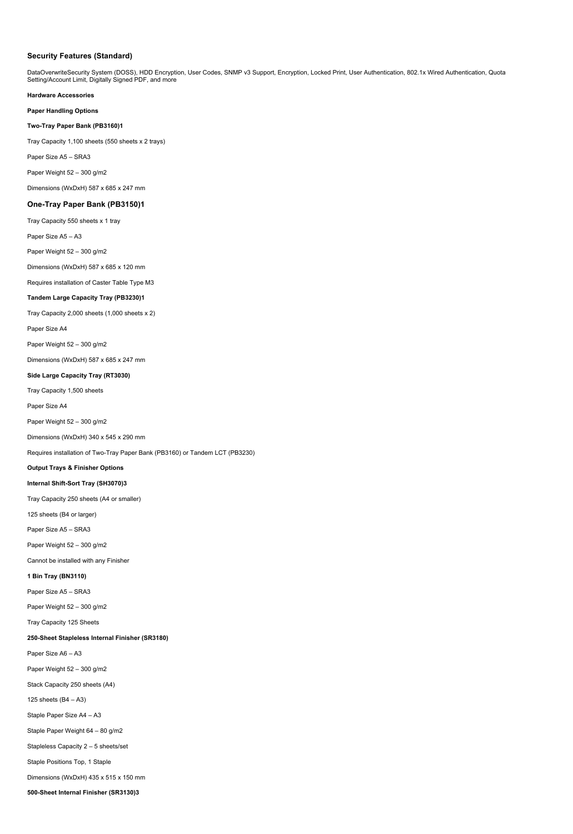## **Security Features (Standard)**

DataOverwriteSecurity System (DOSS), HDD Encryption, User Codes, SNMP v3 Support, Encryption, Locked Print, User Authentication, 802.1x Wired Authentication, Quota Setting/Account Limit, Digitally Signed PDF, and more

**Hardware Accessories Paper Handling Options Two-Tray Paper Bank (PB3160)1**  Tray Capacity 1,100 sheets (550 sheets x 2 trays) Paper Size A5 – SRA3 Paper Weight 52 – 300 g/m2 Dimensions (WxDxH) 587 x 685 x 247 mm **One-Tray Paper Bank (PB3150)1**  Tray Capacity 550 sheets x 1 tray Paper Size A5 – A3 Paper Weight 52 – 300 g/m2 Dimensions (WxDxH) 587 x 685 x 120 mm Requires installation of Caster Table Type M3 **Tandem Large Capacity Tray (PB3230)1**  Tray Capacity 2,000 sheets (1,000 sheets x 2) Paper Size A4 Paper Weight 52 – 300 g/m2 Dimensions (WxDxH) 587 x 685 x 247 mm **Side Large Capacity Tray (RT3030)**  Tray Capacity 1,500 sheets Paper Size A4 Paper Weight 52 – 300 g/m2 Dimensions (WxDxH) 340 x 545 x 290 mm Requires installation of Two-Tray Paper Bank (PB3160) or Tandem LCT (PB3230) **Output Trays & Finisher Options Internal Shift-Sort Tray (SH3070)3**  Tray Capacity 250 sheets (A4 or smaller) 125 sheets (B4 or larger) Paper Size A5 – SRA3 Paper Weight 52 – 300 g/m2 Cannot be installed with any Finisher **1 Bin Tray (BN3110)**  Paper Size A5 – SRA3 Paper Weight 52 – 300 g/m2 Tray Capacity 125 Sheets **250-Sheet Stapleless Internal Finisher (SR3180)**  Paper Size A6 – A3 Paper Weight 52 – 300 g/m2 Stack Capacity 250 sheets (A4) 125 sheets (B4 – A3) Staple Paper Size A4 – A3 Staple Paper Weight 64 – 80 g/m2 Stapleless Capacity 2 – 5 sheets/set Staple Positions Top, 1 Staple Dimensions (WxDxH) 435 x 515 x 150 mm **500-Sheet Internal Finisher (SR3130)3**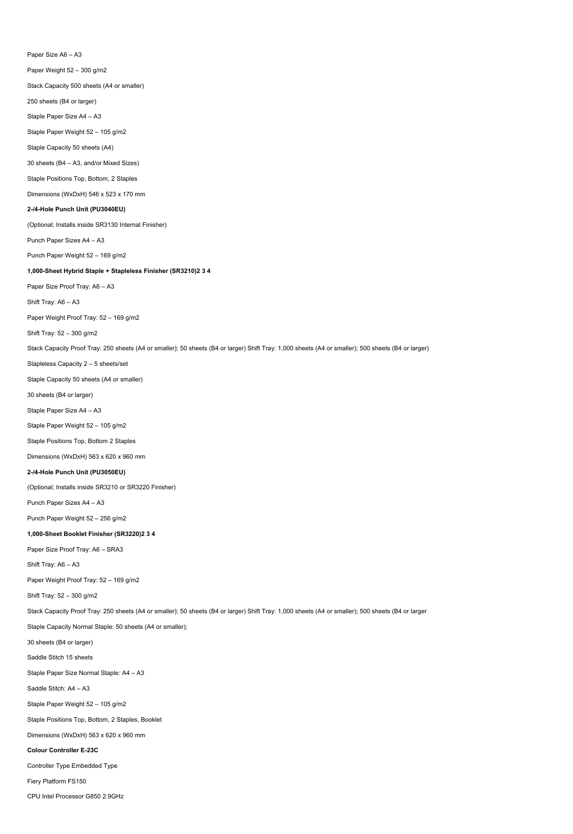Paper Size A6 – A3 Paper Weight 52 – 300 g/m2 Stack Capacity 500 sheets (A4 or smaller) 250 sheets (B4 or larger) Staple Paper Size A4 – A3 Staple Paper Weight 52 – 105 g/m2 Staple Capacity 50 sheets (A4) 30 sheets (B4 – A3, and/or Mixed Sizes) Staple Positions Top, Bottom, 2 Staples Dimensions (WxDxH) 546 x 523 x 170 mm **2-/4-Hole Punch Unit (PU3040EU)**  (Optional; Installs inside SR3130 Internal Finisher) Punch Paper Sizes A4 – A3 Punch Paper Weight 52 – 169 g/m2 **1,000-Sheet Hybrid Staple + Stapleless Finisher (SR3210)2 3 4**  Paper Size Proof Tray: A6 – A3 Shift Tray: A6 – A3 Paper Weight Proof Tray: 52 – 169 g/m2 Shift Tray: 52 – 300 g/m2 Stack Capacity Proof Tray: 250 sheets (A4 or smaller); 50 sheets (B4 or larger) Shift Tray: 1,000 sheets (A4 or smaller); 500 sheets (B4 or larger) Stapleless Capacity 2 – 5 sheets/set Staple Capacity 50 sheets (A4 or smaller) 30 sheets (B4 or larger) Staple Paper Size A4 – A3 Staple Paper Weight 52 – 105 g/m2 Staple Positions Top, Bottom 2 Staples Dimensions (WxDxH) 563 x 620 x 960 mm **2-/4-Hole Punch Unit (PU3050EU)**  (Optional; Installs inside SR3210 or SR3220 Finisher) Punch Paper Sizes A4 – A3 Punch Paper Weight 52 – 256 g/m2 **1,000-Sheet Booklet Finisher (SR3220)2 3 4**  Paper Size Proof Tray: A6 – SRA3 Shift Tray: A6 – A3 Paper Weight Proof Tray: 52 – 169 g/m2 Shift Tray: 52 – 300 g/m2 Stack Capacity Proof Tray: 250 sheets (A4 or smaller); 50 sheets (B4 or larger) Shift Tray: 1,000 sheets (A4 or smaller); 500 sheets (B4 or larger Staple Capacity Normal Staple: 50 sheets (A4 or smaller); 30 sheets (B4 or larger) Saddle Stitch 15 sheets Staple Paper Size Normal Staple: A4 – A3 Saddle Stitch: A4 – A3 Staple Paper Weight 52 – 105 g/m2 Staple Positions Top, Bottom, 2 Staples, Booklet Dimensions (WxDxH) 563 x 620 x 960 mm **Colour Controller E-23C**  Controller Type Embedded Type Fiery Platform FS150

CPU Intel Processor G850 2.9GHz